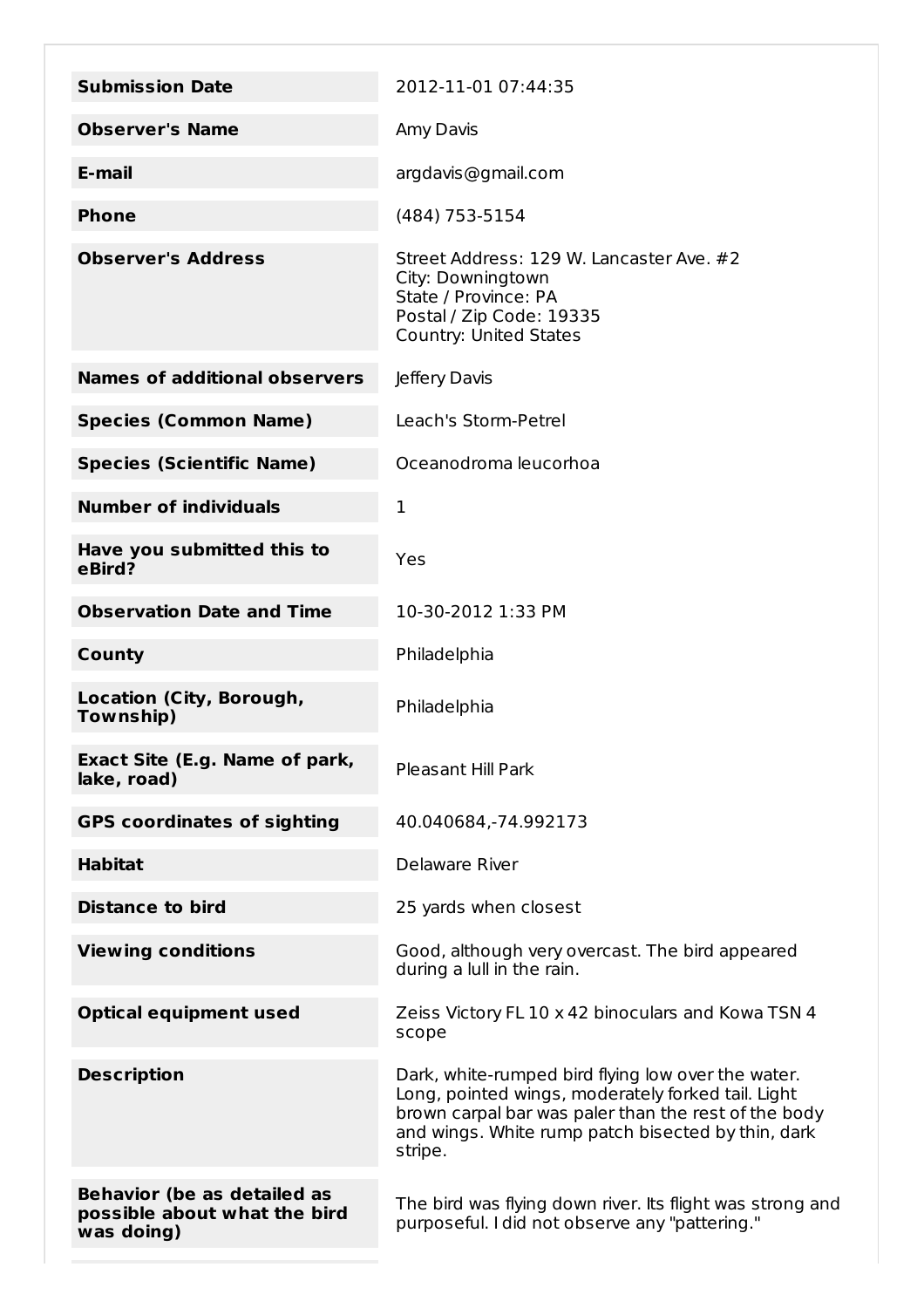| <b>Submission Date</b>                                                           | 2012-11-01 07:44:35                                                                                                                                                                                                               |
|----------------------------------------------------------------------------------|-----------------------------------------------------------------------------------------------------------------------------------------------------------------------------------------------------------------------------------|
| <b>Observer's Name</b>                                                           | Amy Davis                                                                                                                                                                                                                         |
| E-mail                                                                           | argdavis@gmail.com                                                                                                                                                                                                                |
| <b>Phone</b>                                                                     | (484) 753-5154                                                                                                                                                                                                                    |
| <b>Observer's Address</b>                                                        | Street Address: 129 W. Lancaster Ave. #2<br>City: Downingtown<br>State / Province: PA<br>Postal / Zip Code: 19335<br><b>Country: United States</b>                                                                                |
| <b>Names of additional observers</b>                                             | Jeffery Davis                                                                                                                                                                                                                     |
| <b>Species (Common Name)</b>                                                     | Leach's Storm-Petrel                                                                                                                                                                                                              |
| <b>Species (Scientific Name)</b>                                                 | Oceanodroma leucorhoa                                                                                                                                                                                                             |
| <b>Number of individuals</b>                                                     | 1                                                                                                                                                                                                                                 |
| Have you submitted this to<br>eBird?                                             | Yes                                                                                                                                                                                                                               |
| <b>Observation Date and Time</b>                                                 | 10-30-2012 1:33 PM                                                                                                                                                                                                                |
| County                                                                           | Philadelphia                                                                                                                                                                                                                      |
| Location (City, Borough,<br>Township)                                            | Philadelphia                                                                                                                                                                                                                      |
| Exact Site (E.g. Name of park,<br>lake, road)                                    | <b>Pleasant Hill Park</b>                                                                                                                                                                                                         |
| <b>GPS coordinates of sighting</b>                                               | 40.040684,-74.992173                                                                                                                                                                                                              |
| <b>Habitat</b>                                                                   | Delaware River                                                                                                                                                                                                                    |
| <b>Distance to bird</b>                                                          | 25 yards when closest                                                                                                                                                                                                             |
| <b>Viewing conditions</b>                                                        | Good, although very overcast. The bird appeared<br>during a lull in the rain.                                                                                                                                                     |
| <b>Optical equipment used</b>                                                    | Zeiss Victory FL 10 x 42 binoculars and Kowa TSN 4<br>scope                                                                                                                                                                       |
| <b>Description</b>                                                               | Dark, white-rumped bird flying low over the water.<br>Long, pointed wings, moderately forked tail. Light<br>brown carpal bar was paler than the rest of the body<br>and wings. White rump patch bisected by thin, dark<br>stripe. |
| <b>Behavior (be as detailed as</b><br>possible about what the bird<br>was doing) | The bird was flying down river. Its flight was strong and<br>purposeful. I did not observe any "pattering."                                                                                                                       |